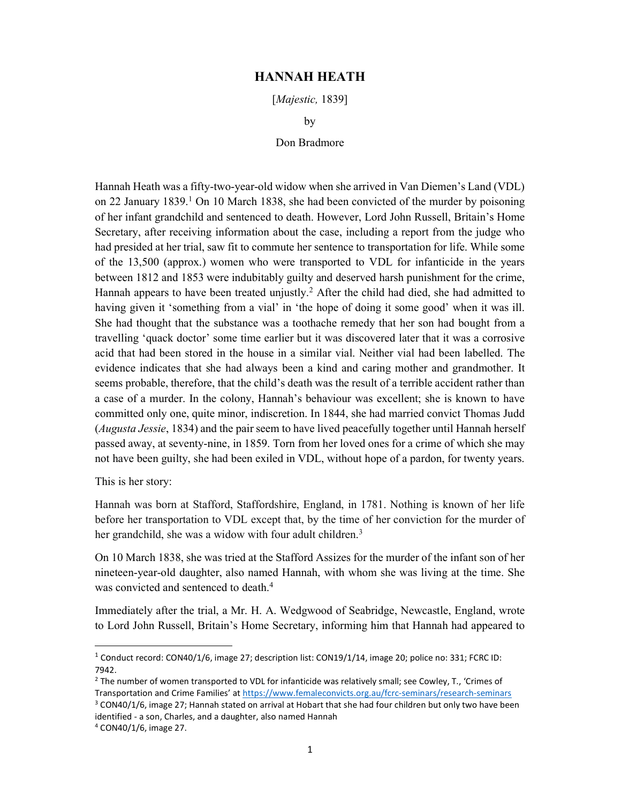## HANNAH HEATH

[Majestic, 1839]

by

## Don Bradmore

Hannah Heath was a fifty-two-year-old widow when she arrived in Van Diemen's Land (VDL) on 22 January 1839.<sup>1</sup> On 10 March 1838, she had been convicted of the murder by poisoning of her infant grandchild and sentenced to death. However, Lord John Russell, Britain's Home Secretary, after receiving information about the case, including a report from the judge who had presided at her trial, saw fit to commute her sentence to transportation for life. While some of the 13,500 (approx.) women who were transported to VDL for infanticide in the years between 1812 and 1853 were indubitably guilty and deserved harsh punishment for the crime, Hannah appears to have been treated unjustly.<sup>2</sup> After the child had died, she had admitted to having given it 'something from a vial' in 'the hope of doing it some good' when it was ill. She had thought that the substance was a toothache remedy that her son had bought from a travelling 'quack doctor' some time earlier but it was discovered later that it was a corrosive acid that had been stored in the house in a similar vial. Neither vial had been labelled. The evidence indicates that she had always been a kind and caring mother and grandmother. It seems probable, therefore, that the child's death was the result of a terrible accident rather than a case of a murder. In the colony, Hannah's behaviour was excellent; she is known to have committed only one, quite minor, indiscretion. In 1844, she had married convict Thomas Judd (Augusta Jessie, 1834) and the pair seem to have lived peacefully together until Hannah herself passed away, at seventy-nine, in 1859. Torn from her loved ones for a crime of which she may not have been guilty, she had been exiled in VDL, without hope of a pardon, for twenty years.

This is her story:

Hannah was born at Stafford, Staffordshire, England, in 1781. Nothing is known of her life before her transportation to VDL except that, by the time of her conviction for the murder of her grandchild, she was a widow with four adult children.<sup>3</sup>

On 10 March 1838, she was tried at the Stafford Assizes for the murder of the infant son of her nineteen-year-old daughter, also named Hannah, with whom she was living at the time. She was convicted and sentenced to death.<sup>4</sup>

Immediately after the trial, a Mr. H. A. Wedgwood of Seabridge, Newcastle, England, wrote to Lord John Russell, Britain's Home Secretary, informing him that Hannah had appeared to

<sup>&</sup>lt;sup>1</sup> Conduct record: CON40/1/6, image 27; description list: CON19/1/14, image 20; police no: 331; FCRC ID: 7942.

 $<sup>2</sup>$  The number of women transported to VDL for infanticide was relatively small; see Cowley, T., 'Crimes of</sup> Transportation and Crime Families' at https://www.femaleconvicts.org.au/fcrc-seminars/research-seminars

 $3$  CON40/1/6, image 27; Hannah stated on arrival at Hobart that she had four children but only two have been identified - a son, Charles, and a daughter, also named Hannah

<sup>4</sup> CON40/1/6, image 27.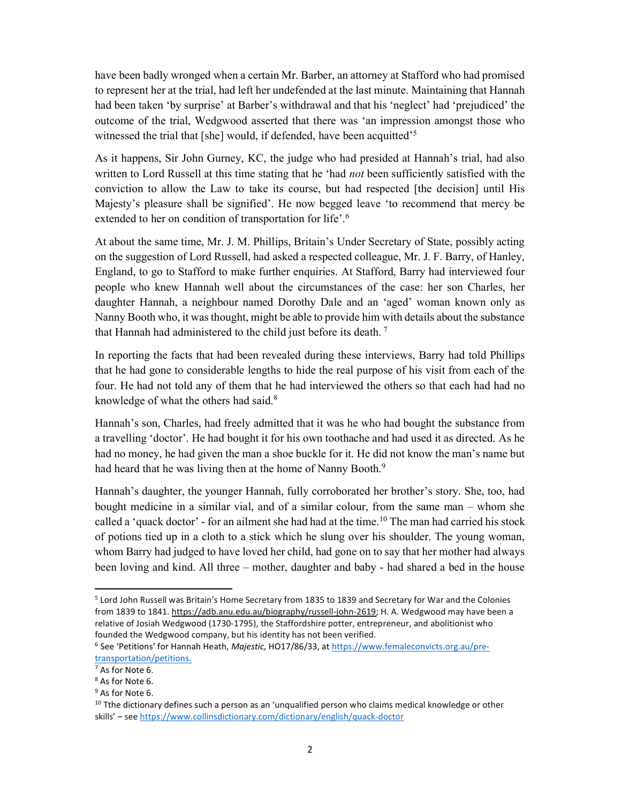have been badly wronged when a certain Mr. Barber, an attorney at Stafford who had promised to represent her at the trial, had left her undefended at the last minute. Maintaining that Hannah had been taken 'by surprise' at Barber's withdrawal and that his 'neglect' had 'prejudiced' the outcome of the trial, Wedgwood asserted that there was 'an impression amongst those who witnessed the trial that [she] would, if defended, have been acquitted'<sup>5</sup>

As it happens, Sir John Gurney, KC, the judge who had presided at Hannah's trial, had also written to Lord Russell at this time stating that he 'had *not* been sufficiently satisfied with the conviction to allow the Law to take its course, but had respected [the decision] until His Majesty's pleasure shall be signified'. He now begged leave 'to recommend that mercy be extended to her on condition of transportation for life'.<sup>6</sup>

At about the same time, Mr. J. M. Phillips, Britain's Under Secretary of State, possibly acting on the suggestion of Lord Russell, had asked a respected colleague, Mr. J. F. Barry, of Hanley, England, to go to Stafford to make further enquiries. At Stafford, Barry had interviewed four people who knew Hannah well about the circumstances of the case: her son Charles, her daughter Hannah, a neighbour named Dorothy Dale and an 'aged' woman known only as Nanny Booth who, it was thought, might be able to provide him with details about the substance that Hannah had administered to the child just before its death.<sup>7</sup>

In reporting the facts that had been revealed during these interviews, Barry had told Phillips that he had gone to considerable lengths to hide the real purpose of his visit from each of the four. He had not told any of them that he had interviewed the others so that each had had no knowledge of what the others had said.<sup>8</sup>

Hannah's son, Charles, had freely admitted that it was he who had bought the substance from a travelling 'doctor'. He had bought it for his own toothache and had used it as directed. As he had no money, he had given the man a shoe buckle for it. He did not know the man's name but had heard that he was living then at the home of Nanny Booth.<sup>9</sup>

Hannah's daughter, the younger Hannah, fully corroborated her brother's story. She, too, had bought medicine in a similar vial, and of a similar colour, from the same man – whom she called a 'quack doctor' - for an ailment she had had at the time.<sup>10</sup> The man had carried his stock of potions tied up in a cloth to a stick which he slung over his shoulder. The young woman, whom Barry had judged to have loved her child, had gone on to say that her mother had always been loving and kind. All three – mother, daughter and baby - had shared a bed in the house

<sup>&</sup>lt;sup>5</sup> Lord John Russell was Britain's Home Secretary from 1835 to 1839 and Secretary for War and the Colonies from 1839 to 1841. https://adb.anu.edu.au/biography/russell-john-2619; H. A. Wedgwood may have been a relative of Josiah Wedgwood (1730-1795), the Staffordshire potter, entrepreneur, and abolitionist who founded the Wedgwood company, but his identity has not been verified.

<sup>&</sup>lt;sup>6</sup> See 'Petitions' for Hannah Heath, Majestic, HO17/86/33, at https://www.femaleconvicts.org.au/pretransportation/petitions.

 $7$  As for Note 6.

<sup>8</sup> As for Note 6.

<sup>&</sup>lt;sup>9</sup> As for Note 6.

 $10$  Tthe dictionary defines such a person as an 'unqualified person who claims medical knowledge or other skills' – see https://www.collinsdictionary.com/dictionary/english/quack-doctor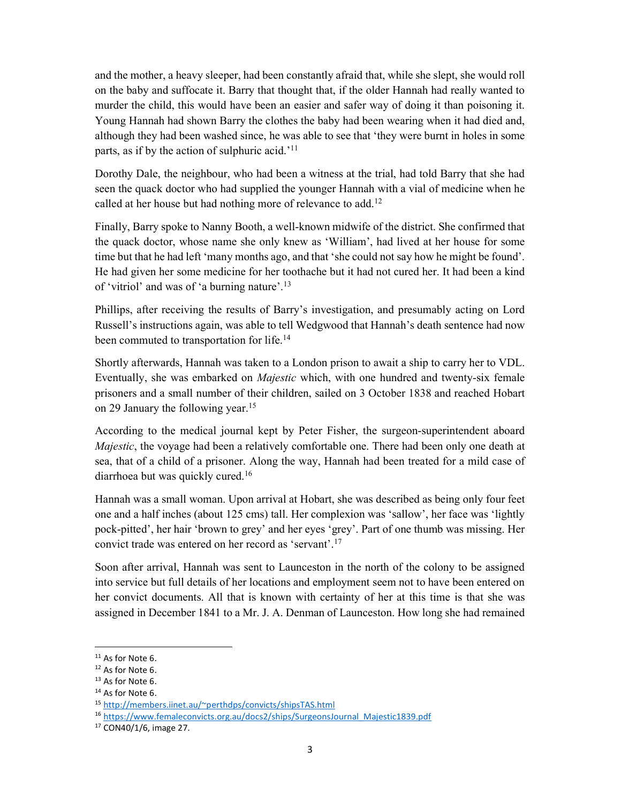and the mother, a heavy sleeper, had been constantly afraid that, while she slept, she would roll on the baby and suffocate it. Barry that thought that, if the older Hannah had really wanted to murder the child, this would have been an easier and safer way of doing it than poisoning it. Young Hannah had shown Barry the clothes the baby had been wearing when it had died and, although they had been washed since, he was able to see that 'they were burnt in holes in some parts, as if by the action of sulphuric acid.<sup>'11</sup>

Dorothy Dale, the neighbour, who had been a witness at the trial, had told Barry that she had seen the quack doctor who had supplied the younger Hannah with a vial of medicine when he called at her house but had nothing more of relevance to add.<sup>12</sup>

Finally, Barry spoke to Nanny Booth, a well-known midwife of the district. She confirmed that the quack doctor, whose name she only knew as 'William', had lived at her house for some time but that he had left 'many months ago, and that 'she could not say how he might be found'. He had given her some medicine for her toothache but it had not cured her. It had been a kind of 'vitriol' and was of 'a burning nature'.<sup>13</sup>

Phillips, after receiving the results of Barry's investigation, and presumably acting on Lord Russell's instructions again, was able to tell Wedgwood that Hannah's death sentence had now been commuted to transportation for life.<sup>14</sup>

Shortly afterwards, Hannah was taken to a London prison to await a ship to carry her to VDL. Eventually, she was embarked on *Majestic* which, with one hundred and twenty-six female prisoners and a small number of their children, sailed on 3 October 1838 and reached Hobart on 29 January the following year.<sup>15</sup>

According to the medical journal kept by Peter Fisher, the surgeon-superintendent aboard *Majestic*, the voyage had been a relatively comfortable one. There had been only one death at sea, that of a child of a prisoner. Along the way, Hannah had been treated for a mild case of diarrhoea but was quickly cured.<sup>16</sup>

Hannah was a small woman. Upon arrival at Hobart, she was described as being only four feet one and a half inches (about 125 cms) tall. Her complexion was 'sallow', her face was 'lightly pock-pitted', her hair 'brown to grey' and her eyes 'grey'. Part of one thumb was missing. Her convict trade was entered on her record as 'servant'.<sup>17</sup>

Soon after arrival, Hannah was sent to Launceston in the north of the colony to be assigned into service but full details of her locations and employment seem not to have been entered on her convict documents. All that is known with certainty of her at this time is that she was assigned in December 1841 to a Mr. J. A. Denman of Launceston. How long she had remained

<sup>&</sup>lt;sup>11</sup> As for Note 6.

<sup>&</sup>lt;sup>12</sup> As for Note 6.

<sup>&</sup>lt;sup>13</sup> As for Note 6.

<sup>&</sup>lt;sup>14</sup> As for Note 6.

<sup>15</sup> http://members.iinet.au/~perthdps/convicts/shipsTAS.html

<sup>16</sup> https://www.femaleconvicts.org.au/docs2/ships/SurgeonsJournal\_Majestic1839.pdf

<sup>17</sup> CON40/1/6, image 27.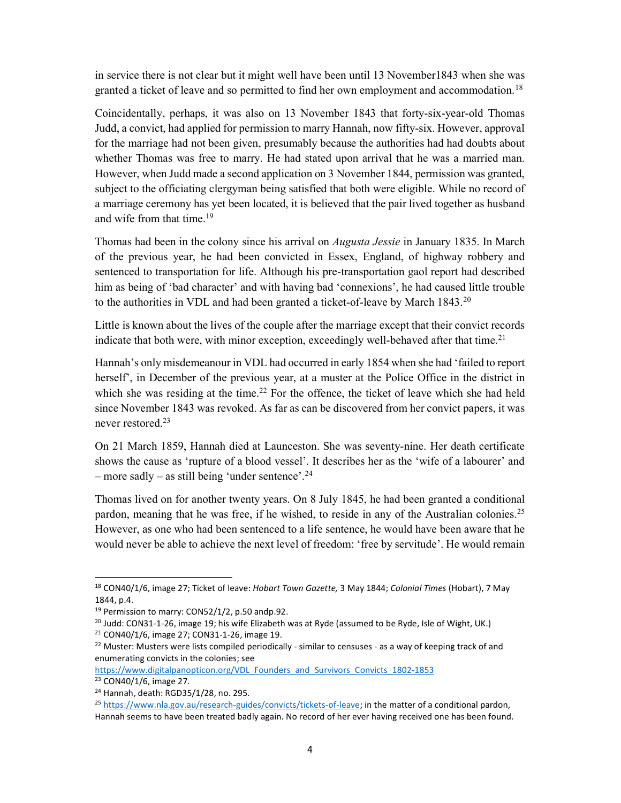in service there is not clear but it might well have been until 13 November1843 when she was granted a ticket of leave and so permitted to find her own employment and accommodation.<sup>18</sup>

Coincidentally, perhaps, it was also on 13 November 1843 that forty-six-year-old Thomas Judd, a convict, had applied for permission to marry Hannah, now fifty-six. However, approval for the marriage had not been given, presumably because the authorities had had doubts about whether Thomas was free to marry. He had stated upon arrival that he was a married man. However, when Judd made a second application on 3 November 1844, permission was granted, subject to the officiating clergyman being satisfied that both were eligible. While no record of a marriage ceremony has yet been located, it is believed that the pair lived together as husband and wife from that time.<sup>19</sup>

Thomas had been in the colony since his arrival on *Augusta Jessie* in January 1835. In March of the previous year, he had been convicted in Essex, England, of highway robbery and sentenced to transportation for life. Although his pre-transportation gaol report had described him as being of 'bad character' and with having bad 'connexions', he had caused little trouble to the authorities in VDL and had been granted a ticket-of-leave by March 1843.<sup>20</sup>

Little is known about the lives of the couple after the marriage except that their convict records indicate that both were, with minor exception, exceedingly well-behaved after that time.<sup>21</sup>

Hannah's only misdemeanour in VDL had occurred in early 1854 when she had 'failed to report herself', in December of the previous year, at a muster at the Police Office in the district in which she was residing at the time.<sup>22</sup> For the offence, the ticket of leave which she had held since November 1843 was revoked. As far as can be discovered from her convict papers, it was never restored.<sup>23</sup>

On 21 March 1859, Hannah died at Launceston. She was seventy-nine. Her death certificate shows the cause as 'rupture of a blood vessel'. It describes her as the 'wife of a labourer' and – more sadly – as still being 'under sentence'.<sup>24</sup>

Thomas lived on for another twenty years. On 8 July 1845, he had been granted a conditional pardon, meaning that he was free, if he wished, to reside in any of the Australian colonies.<sup>25</sup> However, as one who had been sentenced to a life sentence, he would have been aware that he would never be able to achieve the next level of freedom: 'free by servitude'. He would remain

<sup>&</sup>lt;sup>18</sup> CON40/1/6, image 27; Ticket of leave: Hobart Town Gazette, 3 May 1844; Colonial Times (Hobart), 7 May 1844, p.4.

<sup>&</sup>lt;sup>19</sup> Permission to marry: CON52/1/2, p.50 andp.92.

 $^{20}$  Judd: CON31-1-26, image 19; his wife Elizabeth was at Ryde (assumed to be Ryde, Isle of Wight, UK.) <sup>21</sup> CON40/1/6, image 27; CON31-1-26, image 19.

 $22$  Muster: Musters were lists compiled periodically - similar to censuses - as a way of keeping track of and enumerating convicts in the colonies; see

https://www.digitalpanopticon.org/VDL Founders and Survivors Convicts 1802-1853 <sup>23</sup> CON40/1/6, image 27.

<sup>24</sup> Hannah, death: RGD35/1/28, no. 295.

<sup>&</sup>lt;sup>25</sup> https://www.nla.gov.au/research-guides/convicts/tickets-of-leave; in the matter of a conditional pardon, Hannah seems to have been treated badly again. No record of her ever having received one has been found.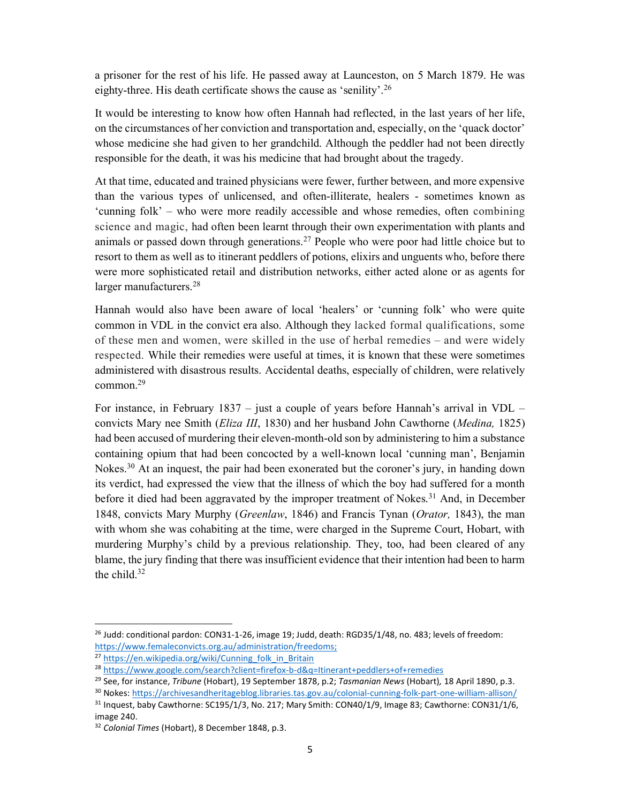a prisoner for the rest of his life. He passed away at Launceston, on 5 March 1879. He was eighty-three. His death certificate shows the cause as 'senility'.<sup>26</sup>

It would be interesting to know how often Hannah had reflected, in the last years of her life, on the circumstances of her conviction and transportation and, especially, on the 'quack doctor' whose medicine she had given to her grandchild. Although the peddler had not been directly responsible for the death, it was his medicine that had brought about the tragedy.

At that time, educated and trained physicians were fewer, further between, and more expensive than the various types of unlicensed, and often-illiterate, healers - sometimes known as 'cunning folk' – who were more readily accessible and whose remedies, often combining science and magic, had often been learnt through their own experimentation with plants and animals or passed down through generations.<sup>27</sup> People who were poor had little choice but to resort to them as well as to itinerant peddlers of potions, elixirs and unguents who, before there were more sophisticated retail and distribution networks, either acted alone or as agents for larger manufacturers.<sup>28</sup>

Hannah would also have been aware of local 'healers' or 'cunning folk' who were quite common in VDL in the convict era also. Although they lacked formal qualifications, some of these men and women, were skilled in the use of herbal remedies – and were widely respected. While their remedies were useful at times, it is known that these were sometimes administered with disastrous results. Accidental deaths, especially of children, were relatively common.<sup>29</sup>

For instance, in February 1837 – just a couple of years before Hannah's arrival in VDL – convicts Mary nee Smith (*Eliza III*, 1830) and her husband John Cawthorne (*Medina*, 1825) had been accused of murdering their eleven-month-old son by administering to him a substance containing opium that had been concocted by a well-known local 'cunning man', Benjamin Nokes.<sup>30</sup> At an inquest, the pair had been exonerated but the coroner's jury, in handing down its verdict, had expressed the view that the illness of which the boy had suffered for a month before it died had been aggravated by the improper treatment of Nokes.<sup>31</sup> And, in December 1848, convicts Mary Murphy (Greenlaw, 1846) and Francis Tynan (Orator, 1843), the man with whom she was cohabiting at the time, were charged in the Supreme Court, Hobart, with murdering Murphy's child by a previous relationship. They, too, had been cleared of any blame, the jury finding that there was insufficient evidence that their intention had been to harm the child. $32$ 

 $^{26}$  Judd: conditional pardon: CON31-1-26, image 19; Judd, death: RGD35/1/48, no. 483; levels of freedom: https://www.femaleconvicts.org.au/administration/freedoms;

<sup>&</sup>lt;sup>27</sup> https://en.wikipedia.org/wiki/Cunning\_folk\_in\_Britain

<sup>28</sup> https://www.google.com/search?client=firefox-b-d&q=Itinerant+peddlers+of+remedies

<sup>&</sup>lt;sup>29</sup> See, for instance, Tribune (Hobart), 19 September 1878, p.2; Tasmanian News (Hobart), 18 April 1890, p.3.

<sup>30</sup> Nokes: https://archivesandheritageblog.libraries.tas.gov.au/colonial-cunning-folk-part-one-william-allison/  $31$  Inquest, baby Cawthorne: SC195/1/3, No. 217; Mary Smith: CON40/1/9, Image 83; Cawthorne: CON31/1/6, image 240.

<sup>32</sup> Colonial Times (Hobart), 8 December 1848, p.3.